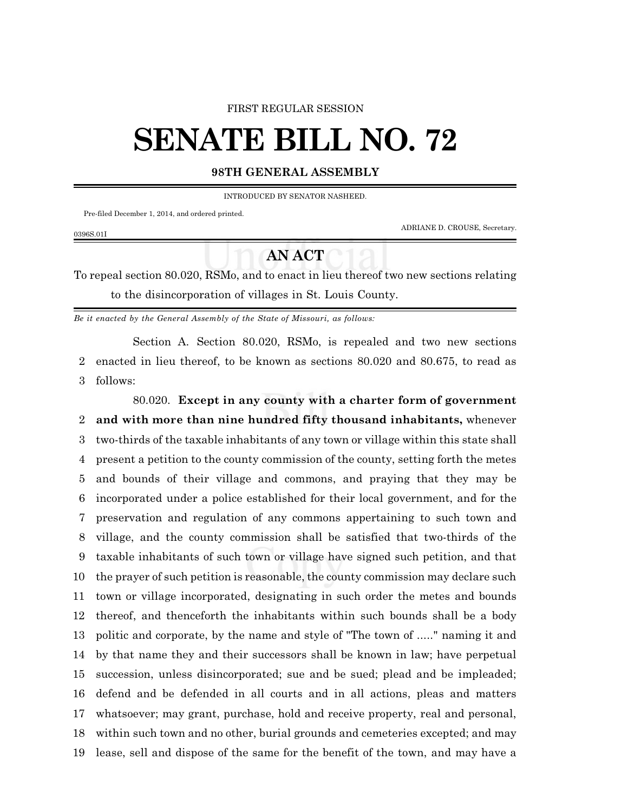## FIRST REGULAR SESSION

## **SENATE BILL NO. 72**

## **98TH GENERAL ASSEMBLY**

INTRODUCED BY SENATOR NASHEED.

Pre-filed December 1, 2014, and ordered printed.

0396S.01I

ADRIANE D. CROUSE, Secretary.

## **AN ACT**

To repeal section 80.020, RSMo, and to enact in lieu thereof two new sections relating to the disincorporation of villages in St. Louis County.

*Be it enacted by the General Assembly of the State of Missouri, as follows:*

Section A. Section 80.020, RSMo, is repealed and two new sections enacted in lieu thereof, to be known as sections 80.020 and 80.675, to read as follows:

80.020. **Except in any county with a charter form of government and with more than nine hundred fifty thousand inhabitants,** whenever two-thirds of the taxable inhabitants of any town or village within this state shall present a petition to the county commission of the county, setting forth the metes and bounds of their village and commons, and praying that they may be incorporated under a police established for their local government, and for the preservation and regulation of any commons appertaining to such town and village, and the county commission shall be satisfied that two-thirds of the taxable inhabitants of such town or village have signed such petition, and that the prayer of such petition is reasonable, the county commission may declare such town or village incorporated, designating in such order the metes and bounds thereof, and thenceforth the inhabitants within such bounds shall be a body politic and corporate, by the name and style of "The town of ....." naming it and by that name they and their successors shall be known in law; have perpetual succession, unless disincorporated; sue and be sued; plead and be impleaded; defend and be defended in all courts and in all actions, pleas and matters whatsoever; may grant, purchase, hold and receive property, real and personal, within such town and no other, burial grounds and cemeteries excepted; and may lease, sell and dispose of the same for the benefit of the town, and may have a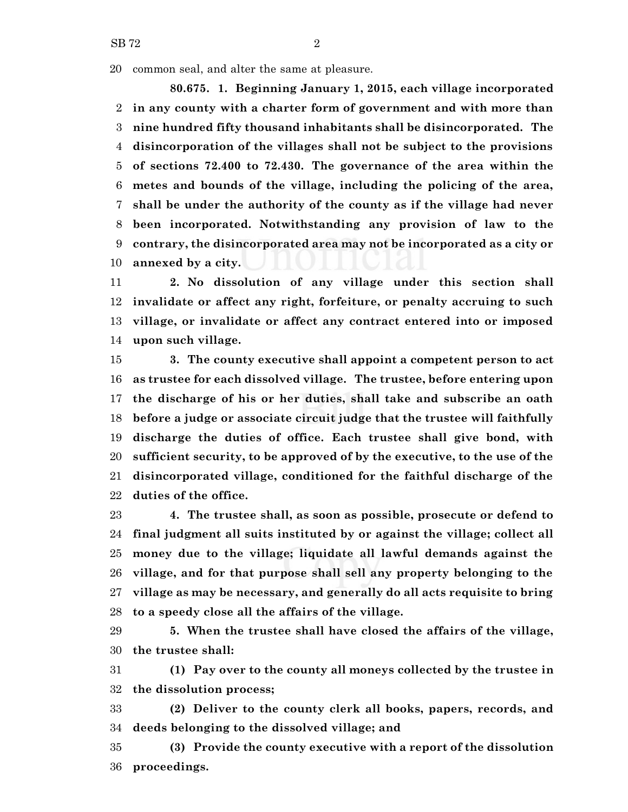SB 72 2

common seal, and alter the same at pleasure.

**80.675. 1. Beginning January 1, 2015, each village incorporated in any county with a charter form of government and with more than nine hundred fifty thousand inhabitants shall be disincorporated. The disincorporation of the villages shall not be subject to the provisions of sections 72.400 to 72.430. The governance of the area within the metes and bounds of the village, including the policing of the area, shall be under the authority of the county as if the village had never been incorporated. Notwithstanding any provision of law to the contrary, the disincorporated area may not be incorporated as a city or annexed by a city.**

 **2. No dissolution of any village under this section shall invalidate or affect any right, forfeiture, or penalty accruing to such village, or invalidate or affect any contract entered into or imposed upon such village.**

 **3. The county executive shall appoint a competent person to act as trustee for each dissolved village. The trustee, before entering upon the discharge of his or her duties, shall take and subscribe an oath before a judge or associate circuit judge that the trustee will faithfully discharge the duties of office. Each trustee shall give bond, with sufficient security, to be approved of by the executive, to the use of the disincorporated village, conditioned for the faithful discharge of the duties of the office.**

 **4. The trustee shall, as soon as possible, prosecute or defend to final judgment all suits instituted by or against the village; collect all money due to the village; liquidate all lawful demands against the village, and for that purpose shall sell any property belonging to the village as may be necessary, and generally do all acts requisite to bring to a speedy close all the affairs of the village.**

 **5. When the trustee shall have closed the affairs of the village, the trustee shall:**

 **(1) Pay over to the county all moneys collected by the trustee in the dissolution process;**

 **(2) Deliver to the county clerk all books, papers, records, and deeds belonging to the dissolved village; and**

 **(3) Provide the county executive with a report of the dissolution proceedings.**